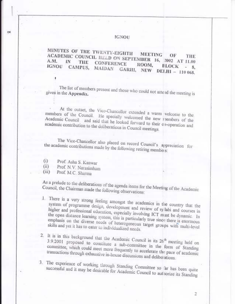### **IGNOU**

### MINUTES OF THE TWENTY-EIGHTH **MEETING** ACADEMIC COUNCIL HELD ON SEPTEMBER 16, 2002 AT 11.00 **CONFERENCE** IGNOU CAMPUS, MAIDAN GARHI, NEW DELHI - 110 068. ROOM.

The list of members present and those who could not attend the meeting is given in the Appendix.

At the outset, the Vice-Chancellor extended a warm welcome to the members of the Council. He specially welcomed the new riembers of the Academic Council and said that he looked forward to their co-operation and academic contribution to the deliberations in Council meetings.

The Vice-Chancellor also placed on record Council's appreciation for the academic contributions made by the following retiring members:

- Prof. Asha S. Kanwar  $(i)$
- Prof. N.V. Narasimham  $(ii)$
- Prof. M.C. Sharma  $(iii)$

OK

As a prelude to the deliberations of the agenda items for the Meeting of the Academic Council, the Chairman made the following observations:

- 1. There is a very strong feeling amongst the academics in the country that the system of programme design, development and review of sylabi and courses in higher and professional education, especially involving ICT must be dynamic. In the open distance learning system, this is particularly true since there is enormous emphasis on the diverse needs of heterogeneous target groups with multi-level skills and yet it has to cater to individualized needs.
- 2. It is in this background that the Academic Council in its 26<sup>th</sup> meeting held on 3.9.2001 proposed to constitute a sub-committee in the form of Standing committee, which could meet more frequently to accelerate the pace of academic transactions through exhaustive in-house discussions and deliberations.

3. The experience of working through Standing Committee so far has been quite successful and it may be desirable for Academic Council to authorize its Standing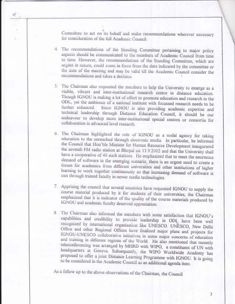Committee to act on its behalf and make recommendations wherever necessary for consideration of the full Academic Council.

- 4. The recommendations of the Standing Committee pertaining to major policy aspects should be communicated to the members of Academic Council from time to time. However, the recommendations of the Standing Committee, which are urgent in nature, could come in force from the date indicated by the committee or the date of the meeting and may be valid till the Academic Council consider the recommendations and takes a decision.
- 5. The Chairman also requested the members to help the University to emerge as a visible, vibrant and inter-institutional research centre in distance education. Though IGNOU is making a lot of effort to promote education and research in the ODL, yet the ambience of a national institute with focussed research needs to be Since IGNOU is also providing academic expertise and further enhanced. technical leadership through Distance Education Council, it should be our endeavour to develop more inter-institutional special centres or consortia for collaboration in advanced level research.
- 6. The Chairman highlighted the role of IGNOU as a nodal agency for taking education to the unreached through electronic media. In particular, he informed the Council that Hon'ble Minister for Human Resource Development inaugurated the seventh FM radio station at Bhopal on 13.9.2002 and that the University shall have a cooperative of 40 such stations. He emphasized that to meet the enormous demand of software in the emerging scenario, there is an urgent need to create a forum for academics from different universities and other institutions of higher learning to work together continuously so that increasing demand of software is met through trained faculty in newer media technologies.
- 7. Apprising the council that several countries have requested IGNOU to supply the course material produced by it for students of their universities, the Chairman emphasized that it is indicator of the quality of the course materials produced by IGNOU and academic faculty deserved appreciation.
- 8. The Chairman also informed the members with some satisfaction that IGNOU's capabilities and credibility to provide leadership in ODL have been well recognized by international organisation like UNESCO, UNESCO, New Delhi Office and other Regional Offices have finalized major plans and projects for IGNOU-UNESCO collaborative initiatives in some major concerns of education and training in different regions of the World. He also mentioned that recently teleconferencing was arranged by MHRD with WIPO, a constituent of UN with headquarters at Geneva. Subsequently, the WIPO Worldwide Academy has proposed to offer a joint Distance Learning Programme with IGNOU. It is going to be considered in the Academic Council as an additional agenda item.

As a follow up to the above observations of the Chairman, the Council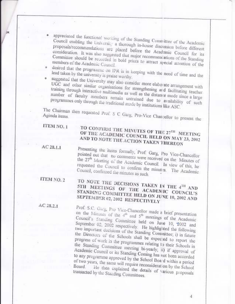appreciated the functional working of the Standing Committee of the Academic Council enabling the University a thorough in-house discussion before different proposals/recommendations are placed before the Academic Council for its consideration. It was also suggested that major recommencations of the Standing Committee should be recorded in bold prints to attract special attention of the

desired that the programme on IPR is in keeping with the need of time and the lead taken by the university is praise worthy.

· suggested that the University may also consider more elaborate arrangement with UGC and other similar organisations for strengthening and facilitating teacher training through interactive multimedia as well as the distance mode since a large number of faculty members remain untrained due to availability of such programmes only through the traditional mode by institutions like ASC.

The Chairman then requested Prof. S C Garg, Pro-Vice Chancellor to present the

ITEM NO. 1

# TO CONFIRM THE MINUTES OF THE 27TH MEETING OF THE ACADEMIC COUNCIL HELD ON MAY 23, 2002 AND TO NOTE THE ACTION TAKEN THEREON

 $AC23.1.1$ 

Presenting the items formally, Prof. Garg, Pro Vice-Chancellor pointed out that no comments were received on the Minutes of the 27<sup>th</sup> Meeting of the Academic Council. In view of this, he requested the Council to confirm the minutes. The Academic Council, confirmed the minutes as such.

ITEM NO. 2 TO NOTE THE DECISIONS TAKEN IN THE 4<sup>TH</sup> AND STH MEETINGS OF THE ACADEMIC COUNCIL'S STANDING COMMITTEE HELD ON JUNE 10, 2002 AND SEPTEMBER 02, 2002 RESPECTIVELY

 $AC28.2.1$ 

Prof. S.C. Garg, Pro Vice-Chancellor made a brief presentation on the Minutes of the  $4^{th}$  and  $5^{th}$  meetings of the Academic Council's Standing Committee held on June 10, 2002 and September 02, 2002 respectively. He highlighted the following two important decisions of the Standing Committee; i) in future the Directors of the Schools shall be expected to report the progress of work in the programmes relating to their Schools in the Standing Committee meeting bi-yearly, ii) if approval of Academic Council or its Standing Coming has not been accorded to any programme approved by the School Boa d within a period of two years, the same will require reconsiderat on by the School Fle then explained the details of various proposals transacted by the Standing Committees.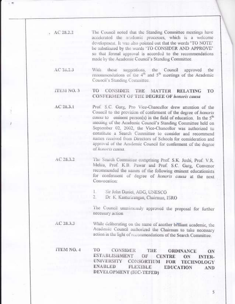- $AC28.2.2$ The Council noted that the Standing Committee meetings have accelerated the academic processes, which is a welcome . development. It was also pointed out that the words 'TO NOTE' be substituted by the words 'TO CONSIDER AND APPROVE' so that formal approval is accorded to the recommendations made by the Academic Council's Standing Committee.
	- With these suggestions, the Council AC 23.2.3 approved the recommendations of the  $4<sup>th</sup>$  and  $5<sup>th</sup>$  meetings of the Academic Council's Standing Committee.

#### ITEM NO. 3 TO CONSIDER THE **MATTER RELATING** TO **CONFERMENT OF THE DEGREE OF honoris causa**

 $AC28.3.1$ Prof. S.C. Garg, Pro Vice-Chancellor drew attention of the Council to the provision of conferment of the degree of honoris causa to eminent person(s) in the field of education. In the 5<sup>th</sup> meeting of the Academic Council's Standing Committee held on September 02, 2002, the Vice-Chancellor was authorized to constitute a Search Committee to consider and recommend names received from Directors of Schools for consideration and approval of the Academic Council for conferment of the degree of honoris causa.

 $AC28.3.2$ The Search Committee comprising Prof. S.K. Joshi, Prof. V.R. Mehta, Prof. K.B. Pawar and Prof. S.C. Garg, Convenor recommended the names of the following eminent educationists for conferment of degree of honoris causa at the next Convocation:

> Sir John Daniel, ADG, UNESCO  $1$ .

 $2.1$ Dr. K. Kasturirangan, Chairman, ISRO

The Council unanimously approved the proposal for further necessary action

AC 28.3.3

 $1 - 77$ 

While deliberating on the name of another brilliant academic, the Academic Council authorized the Chairman to take necessary action in the light of recommendations of the Search Committee.

ITEM NO. 4 TO **CONSIDER** THE **ORDINANCE** ON **ESTABLISHMENT** OF **CENTRE** ON **INTER-**UNIVERSITY CONSORTIUM FOR TECHNOLOGY **ENABLED FLEXIBLE EDUCATION AND** DEVELOPMENT (IUC-TEFED)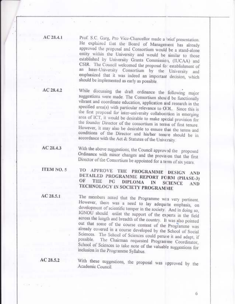$AC28.4.1$ 

Prof. S.C. Garg, Pro Vice-Chancellor made a brief presentation. He explained that the Board of Management has already approved the proposal and Consortium would be a stand-alone entity within the University and would be similar to those established by University Grants Commission, (IUCAA) and CSIR. The Council welcomed the proposal for establishment of an Inter-University Consortium by the University and emphasized that it was indeed an important decision, which should be implemented as early as possible.

While discussing the draft ordinance the following major  $AC28.4.2$ suggestions were made. The Consortium should be functionally vibrant and coordinate education, application and research in the specified area(s) with particular relevance to ODL. Since this is the first proposal for inter-university collaboration in emerging area of ICT, it would be desirable to make special provision for the founder Director of the consortium in terms of first tenure. However, it may also be desirable to ensure that the terms and conditions of the Director and his/her tenure should be in accordance with the Act & Statutes of the University.

AC 28.4.3 With the above suggestions, the Council approved the proposed Ordinance with minor changes and the provision that the first Director of the Consortium be appointed for a term of six years.

TO APPROVE THE PROGRAMME ITEM NO. 5 DESIGN AND DETAILED PROGRAMME REPORT FORM (PHASE-3) OF **THE** PG DIPLOMA IN **SCIENCE AND** TECHNOLOGY IN SOCIETY PROGRAMME

 $AC28.5.1$ The members noted that the Programme was very pertinent. However, there was a need to lay adequate emphasis, on development of scientific temper in the society. And in doing so, IGNOU should enlist the support of the experts in the field across the length and breadth of the country. It was also pointed out that some of the course content of the Programme was already covered in a course developed by the School of Social Sciences. The School of Sciences could peruse it and adapt, if The Chairman requested Programme Coordinator, possible. School of Sciences to take note of the valuable suggestions for inclusion in the Programme Syllabus.

 $AC28.5.2$ 

With these suggestions, the proposal was approved by the Academic Council.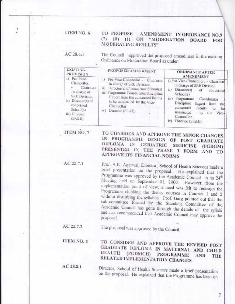#### ITEM NO. 6 **TO PROPOSE** AMENDMENT IN ORDINANCE NO.9  $(7)$  $(B)$   $(I)$   $ON$ "MODERATION **BOARD FOR MODERATING RESULTS"**

 $AC28.6.1$ 

The Council approved the proposed amendment in the existing Ordinance on Moderation Board as under:

| <b>EXISTING</b><br>PROVISION                                                                                                                                 | PROPOSED AMENDMENT                                                                                                                                                                                                                                               | <b>ORDINANCE AFTER</b><br><b>AMENDMENT</b>                                                                                                                                                                                                                                                                                     |
|--------------------------------------------------------------------------------------------------------------------------------------------------------------|------------------------------------------------------------------------------------------------------------------------------------------------------------------------------------------------------------------------------------------------------------------|--------------------------------------------------------------------------------------------------------------------------------------------------------------------------------------------------------------------------------------------------------------------------------------------------------------------------------|
| i) Pro-Vice-<br>Chancellor,<br>Chairnam<br>In charge of<br><b>SRE Division</b><br>ii) Director(s) of<br>concerned<br>School(s)<br>iii) Director<br>$(SR\&E)$ | i) Pro-Vice-Chancellor - Chairman<br>In charge of SRE Division<br>Director(s) of concerned School(s)<br>šE)<br>iii) Programme Coordinator/Discipline<br>Expert from the concerned faculty<br>to be nominated by the Vice-<br>Chancellor<br>Director (SR&E)<br>1V | i) Pro-Vice-Chancellor, - Chairman<br>In charge of SRE Division<br>ii).<br>Director(s) of<br>concerned<br>School(s)<br>ш)<br>Programme<br>Coordinator<br>Discipline<br>Expert from<br><b>HKI</b><br>concerned<br>faculty<br>bd<br>to.<br>nominated<br>by<br>1I <sub>IC</sub><br>Vice-<br>Chancellor<br>Director (SR&E)<br>DC). |

**ITEM NO. 7** TO CONSIDER AND APPROVE THE MINOR CHANGES IN PROGRAMME DESIGN OF POST GRADUATE DIPLOMA IN **GERIATRIC MEDICINE** (PGDGM) PRESENTED IN THE PHASE 3 FORM AND TO APPROVE ITS FINANCIAL NORMS

 $AC28.7.1$ Prof. A.K. Agarwal, Director, School of Health Sciences made a brief presentation on the proposal. He explained that the Programme was approved by the Academic Council in its 24<sup>th</sup> Meeting held on September 01, 2000. However, from the implementation point of view, a need was felt to redesign the Programme clubbing the theory courses in Courses 1 and 2 without disturbing the syllabus. Prof. Garg pointed out that the sub-committee formed by the Standing Committee of the Academic Council has gone through the details of the syllabi and has recommended that Academic Council may approve the proposal.

The proposal was approved by the Council. AC 28.7.2

ITEM NO. 8 TO CONSIDER AND APPROVE THE REVISED POST GRADUATE DIPLOMA IN MATERNAL AND CHILD **HEALTH** (PGDMCH) **PROGRAMME AND** THE RELATED IMPLEMENTATION CHANGES

 $AC28.8.1$ 

Director, School of Health Sciences made a brief presentation on the proposal. He explained that the Programme has been on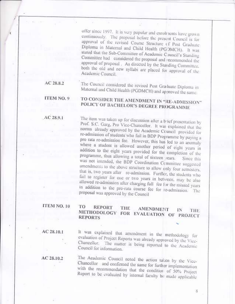offer since 1997. It is very popular and enrolments have grown continuously. The proposal before the present Council is for approval of the revised Course Structure of Post Graduate Diploma in Maternal and Child Health (PGOMCH). It was stated that the Sub-Committee of Academic Council's Standing Committee had considered the proposal and recommended the approval of proposal. As directed by the Standing Committee. both the old and new syllabi are placed for approval of the Academic Council.

AC 28.8.2

The Council considered the revised Post Graduate Diploma in Maternal and Child Health (PGDMCH) and approved the same.

### ITEM NO. 9 TO CONSIDER THE AMENDMENT IN "RE-ADMISSION" POLICY OF BACHELOR'S DEGREE PROGRAMME

 $AC28.9.1$ 

The item was taken up for discussion after a brief presentation by Prof. S.C. Garg, Pro Vice-Chancellor. It was explained that the norms already approved by the Academic Council provided for re-admission of students who fail in BDP Programme by paying a pro rata re-admission fee. However, this has led to an anomaly where a student is allowed another period of eight years in addition to the eight years provided for the completion of the programme, thus allowing a total of sixteen years. Since this was not intended, the BDP Coordination Committee suggested amendments to the above structure to allow only four semesters, that is, two years after re-admission. Further, the students who fail to register for one or two years in between, may be also allowed re-admission after charging full fee for the missed years in addition to the pro-rata course fee for re-admission. The proposal was approved by the Council

# ITEM NO. 10

#### TO **REPORT** THE. **AMENDMENT** IN THE METHODOLOGY FOR EVALUATION OF PROJECT **REPORTS**

AC 28.10.1

It was explained that amendment in the methodology for evaluation of Project Reports was already approved by the Vice-Chancellor. The matter is being reported to the Academic Council for information.

AC 28.10.2

The Academic Council noted the action taken by the Vice-Chancellor and confirmed the same for further implementation with the recommendation that the condition of 50% Project Report to be evaluated by internal faculty be made applicable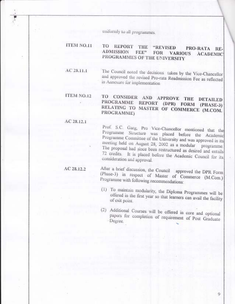uniformly to all programmes.

#### **ITEM NO.11** TO REPORT THE **"REVISED** PRO-RATA RE-**ADMISSION**  $FEE$ <sup>\*</sup>  $FOR$ **VARIOUS ACADEMIC** PROGRAMMES OF THE UNIVERSITY

 $AC28.11.1$ The Council noted the decisions taken by the Vice-Chancellor and approved the revised Pro-rata Readmission Fee as reflected in Annexure for implementation

### ITEM NO.12 TO CONSIDER AND APPROVE THE **DETAILED** PROGRAMME REPORT (DPR) FORM (PHASE-3) RELATING TO MASTER OF COMMERCE (M.COM. PROGRAMME)

### $AC28.12.1$

Prof. S.C. Garg, Pro Vice-Chancellor mentioned that the Programme Structure was placed before the Academic Programme Committee of the University and was approved in its meeting held on August 28, 2002 as a modular programme. The proposal had since been restructured as desired and entails 72 credits. It is placed before the Academic Council for its consideration and approval.

### $AC28.12.2$

After a brief discussion, the Council approved the DPR Form (Phase-3) in respect of Master of Commerce (M.Com.) Programme with following recommendations:

- (1) To maintain modularity, the Diploma Programmes will be offered in the first year so that learners can avail the facility of exit point.
- (2) Additional Courses will be offered in core and optional papers for completion of requirement of Post Graduate - Degree.